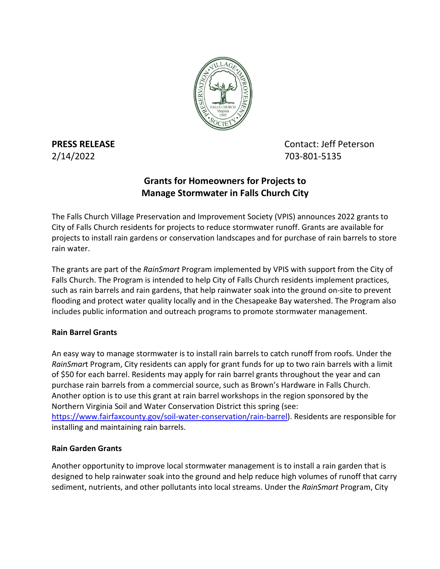

**PRESS RELEASE Contact: Jeff Peterson** 2/14/2022 703-801-5135

# **Grants for Homeowners for Projects to Manage Stormwater in Falls Church City**

The Falls Church Village Preservation and Improvement Society (VPIS) announces 2022 grants to City of Falls Church residents for projects to reduce stormwater runoff. Grants are available for projects to install rain gardens or conservation landscapes and for purchase of rain barrels to store rain water.

The grants are part of the *RainSmart* Program implemented by VPIS with support from the City of Falls Church. The Program is intended to help City of Falls Church residents implement practices, such as rain barrels and rain gardens, that help rainwater soak into the ground on-site to prevent flooding and protect water quality locally and in the Chesapeake Bay watershed. The Program also includes public information and outreach programs to promote stormwater management.

## **Rain Barrel Grants**

An easy way to manage stormwater is to install rain barrels to catch runoff from roofs. Under the *RainSmar*t Program, City residents can apply for grant funds for up to two rain barrels with a limit of \$50 for each barrel. Residents may apply for rain barrel grants throughout the year and can purchase rain barrels from a commercial source, such as Brown's Hardware in Falls Church. Another option is to use this grant at rain barrel workshops in the region sponsored by the Northern Virginia Soil and Water Conservation District this spring (see: [https://www.fairfaxcounty.gov/soil-water-conservation/rain-barrel\)](https://www.fairfaxcounty.gov/soil-water-conservation/rain-barrel). Residents are responsible for installing and maintaining rain barrels.

## **Rain Garden Grants**

Another opportunity to improve local stormwater management is to install a rain garden that is designed to help rainwater soak into the ground and help reduce high volumes of runoff that carry sediment, nutrients, and other pollutants into local streams. Under the *RainSmart* Program, City